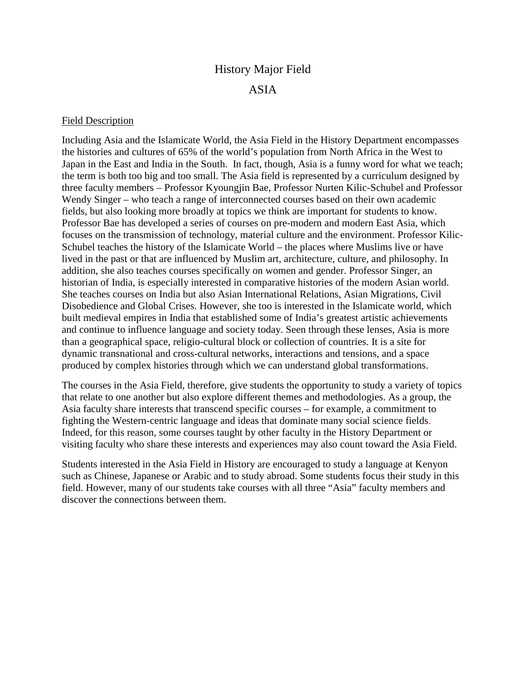## History Major Field

## ASIA

## Field Description

Including Asia and the Islamicate World, the Asia Field in the History Department encompasses the histories and cultures of 65% of the world's population from North Africa in the West to Japan in the East and India in the South. In fact, though, Asia is a funny word for what we teach; the term is both too big and too small. The Asia field is represented by a curriculum designed by three faculty members – Professor Kyoungjin Bae, Professor Nurten Kilic-Schubel and Professor Wendy Singer – who teach a range of interconnected courses based on their own academic fields, but also looking more broadly at topics we think are important for students to know. Professor Bae has developed a series of courses on pre-modern and modern East Asia, which focuses on the transmission of technology, material culture and the environment. Professor Kilic-Schubel teaches the history of the Islamicate World – the places where Muslims live or have lived in the past or that are influenced by Muslim art, architecture, culture, and philosophy. In addition, she also teaches courses specifically on women and gender. Professor Singer, an historian of India, is especially interested in comparative histories of the modern Asian world. She teaches courses on India but also Asian International Relations, Asian Migrations, Civil Disobedience and Global Crises. However, she too is interested in the Islamicate world, which built medieval empires in India that established some of India's greatest artistic achievements and continue to influence language and society today. Seen through these lenses, Asia is more than a geographical space, religio-cultural block or collection of countries. It is a site for dynamic transnational and cross-cultural networks, interactions and tensions, and a space produced by complex histories through which we can understand global transformations.

The courses in the Asia Field, therefore, give students the opportunity to study a variety of topics that relate to one another but also explore different themes and methodologies. As a group, the Asia faculty share interests that transcend specific courses – for example, a commitment to fighting the Western-centric language and ideas that dominate many social science fields. Indeed, for this reason, some courses taught by other faculty in the History Department or visiting faculty who share these interests and experiences may also count toward the Asia Field.

Students interested in the Asia Field in History are encouraged to study a language at Kenyon such as Chinese, Japanese or Arabic and to study abroad. Some students focus their study in this field. However, many of our students take courses with all three "Asia" faculty members and discover the connections between them.